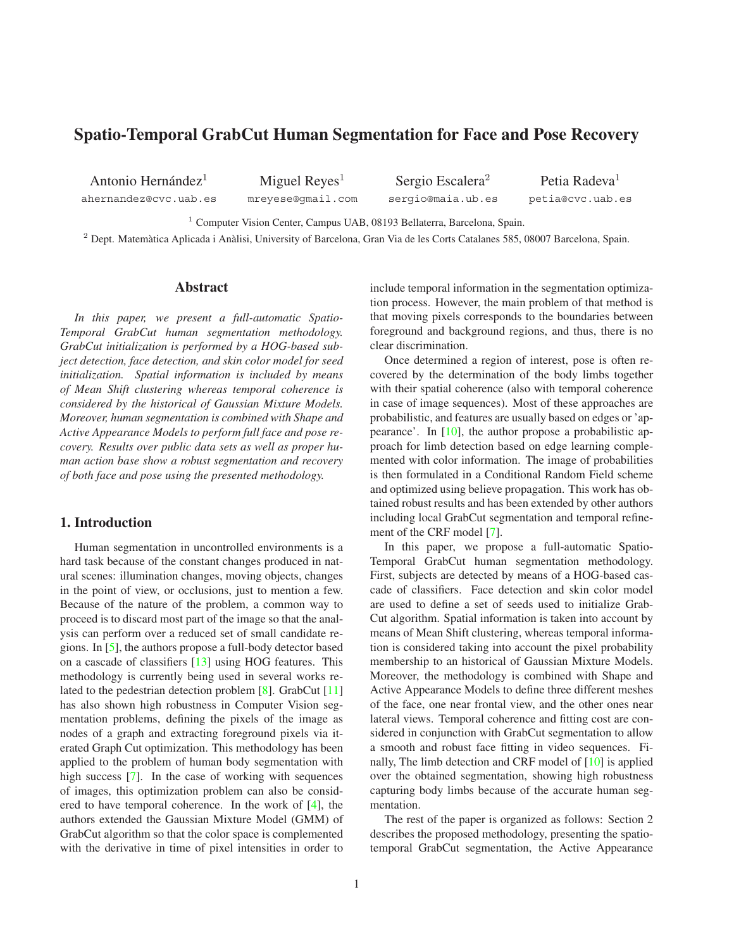# <span id="page-0-0"></span>**Spatio-Temporal GrabCut Human Segmentation for Face and Pose Recovery**

Antonio Hernández $<sup>1</sup>$ </sup> ahernandez@cvc.uab.es

Miguel  $Reves<sup>1</sup>$ mreyese@gmail.com

Sergio Escalera<sup>2</sup> sergio@maia.ub.es

Petia Radeva<sup>1</sup> petia@cvc.uab.es

<sup>1</sup> Computer Vision Center, Campus UAB, 08193 Bellaterra, Barcelona, Spain.

 $2$  Dept. Matemàtica Aplicada i Anàlisi, University of Barcelona, Gran Via de les Corts Catalanes 585, 08007 Barcelona, Spain.

## **Abstract**

*In this paper, we present a full-automatic Spatio-Temporal GrabCut human segmentation methodology. GrabCut initialization is performed by a HOG-based subject detection, face detection, and skin color model for seed initialization. Spatial information is included by means of Mean Shift clustering whereas temporal coherence is considered by the historical of Gaussian Mixture Models. Moreover, human segmentation is combined with Shape and Active Appearance Models to perform full face and pose recovery. Results over public data sets as well as proper human action base show a robust segmentation and recovery of both face and pose using the presented methodology.*

## **1. Introduction**

Human segmentation in uncontrolled environments is a hard task because of the constant changes produced in natural scenes: illumination changes, moving objects, changes in the point of view, or occlusions, just to mention a few. Because of the nature of the problem, a common way to proceed is to discard most part of the image so that the analysis can perform over a reduced set of small candidate regions. In [\[5\]](#page-7-0), the authors propose a full-body detector based on a cascade of classifiers [\[13\]](#page-7-1) using HOG features. This methodology is currently being used in several works related to the pedestrian detection problem [\[8\]](#page-7-2). GrabCut [\[11\]](#page-7-3) has also shown high robustness in Computer Vision segmentation problems, defining the pixels of the image as nodes of a graph and extracting foreground pixels via iterated Graph Cut optimization. This methodology has been applied to the problem of human body segmentation with high success [\[7\]](#page-7-4). In the case of working with sequences of images, this optimization problem can also be considered to have temporal coherence. In the work of [\[4\]](#page-7-5), the authors extended the Gaussian Mixture Model (GMM) of GrabCut algorithm so that the color space is complemented with the derivative in time of pixel intensities in order to include temporal information in the segmentation optimization process. However, the main problem of that method is that moving pixels corresponds to the boundaries between foreground and background regions, and thus, there is no clear discrimination.

Once determined a region of interest, pose is often recovered by the determination of the body limbs together with their spatial coherence (also with temporal coherence in case of image sequences). Most of these approaches are probabilistic, and features are usually based on edges or 'appearance'. In [\[10\]](#page-7-6), the author propose a probabilistic approach for limb detection based on edge learning complemented with color information. The image of probabilities is then formulated in a Conditional Random Field scheme and optimized using believe propagation. This work has obtained robust results and has been extended by other authors including local GrabCut segmentation and temporal refinement of the CRF model [\[7\]](#page-7-4).

In this paper, we propose a full-automatic Spatio-Temporal GrabCut human segmentation methodology. First, subjects are detected by means of a HOG-based cascade of classifiers. Face detection and skin color model are used to define a set of seeds used to initialize Grab-Cut algorithm. Spatial information is taken into account by means of Mean Shift clustering, whereas temporal information is considered taking into account the pixel probability membership to an historical of Gaussian Mixture Models. Moreover, the methodology is combined with Shape and Active Appearance Models to define three different meshes of the face, one near frontal view, and the other ones near lateral views. Temporal coherence and fitting cost are considered in conjunction with GrabCut segmentation to allow a smooth and robust face fitting in video sequences. Finally, The limb detection and CRF model of [\[10\]](#page-7-6) is applied over the obtained segmentation, showing high robustness capturing body limbs because of the accurate human segmentation.

The rest of the paper is organized as follows: Section 2 describes the proposed methodology, presenting the spatiotemporal GrabCut segmentation, the Active Appearance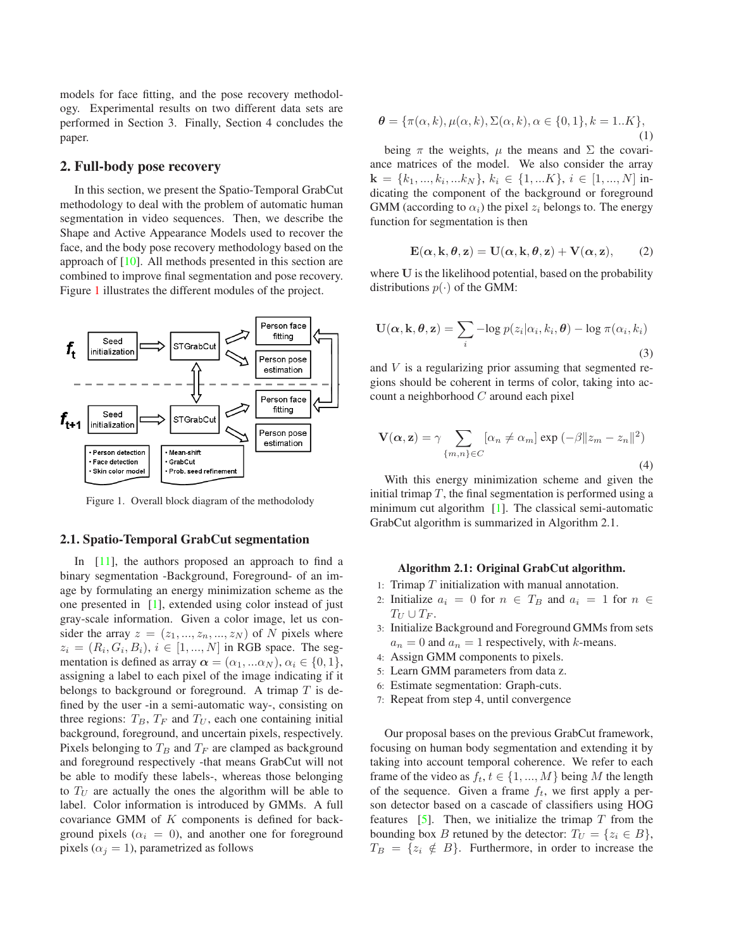<span id="page-1-1"></span>models for face fitting, and the pose recovery methodology. Experimental results on two different data sets are performed in Section 3. Finally, Section 4 concludes the paper.

### **2. Full-body pose recovery**

In this section, we present the Spatio-Temporal GrabCut methodology to deal with the problem of automatic human segmentation in video sequences. Then, we describe the Shape and Active Appearance Models used to recover the face, and the body pose recovery methodology based on the approach of [\[10\]](#page-7-6). All methods presented in this section are combined to improve final segmentation and pose recovery. Figure [1](#page-1-0) illustrates the different modules of the project.



<span id="page-1-0"></span>Figure 1. Overall block diagram of the methodolody

#### **2.1. Spatio-Temporal GrabCut segmentation**

In [\[11\]](#page-7-3), the authors proposed an approach to find a binary segmentation -Background, Foreground- of an image by formulating an energy minimization scheme as the one presented in [\[1\]](#page-7-7), extended using color instead of just gray-scale information. Given a color image, let us consider the array  $z = (z_1, ..., z_n, ..., z_N)$  of N pixels where  $z_i = (R_i, G_i, B_i), i \in [1, ..., N]$  in RGB space. The segmentation is defined as array  $\alpha = (\alpha_1, \dots \alpha_N)$ ,  $\alpha_i \in \{0, 1\}$ , assigning a label to each pixel of the image indicating if it belongs to background or foreground. A trimap  $T$  is defined by the user -in a semi-automatic way-, consisting on three regions:  $T_B$ ,  $T_F$  and  $T_U$ , each one containing initial background, foreground, and uncertain pixels, respectively. Pixels belonging to  $T_B$  and  $T_F$  are clamped as background and foreground respectively -that means GrabCut will not be able to modify these labels-, whereas those belonging to  $T_U$  are actually the ones the algorithm will be able to label. Color information is introduced by GMMs. A full covariance GMM of K components is defined for background pixels ( $\alpha_i = 0$ ), and another one for foreground pixels ( $\alpha_j = 1$ ), parametrized as follows

$$
\boldsymbol{\theta} = \{\pi(\alpha, k), \mu(\alpha, k), \Sigma(\alpha, k), \alpha \in \{0, 1\}, k = 1..K\},\tag{1}
$$

being  $\pi$  the weights,  $\mu$  the means and  $\Sigma$  the covariance matrices of the model. We also consider the array  $\mathbf{k} = \{k_1, ..., k_i, ...k_N\}, k_i \in \{1, ...K\}, i \in [1, ..., N]$  indicating the component of the background or foreground GMM (according to  $\alpha_i$ ) the pixel  $z_i$  belongs to. The energy function for segmentation is then

$$
\mathbf{E}(\alpha, \mathbf{k}, \theta, \mathbf{z}) = \mathbf{U}(\alpha, \mathbf{k}, \theta, \mathbf{z}) + \mathbf{V}(\alpha, \mathbf{z}), \qquad (2)
$$

where **U** is the likelihood potential, based on the probability distributions  $p(\cdot)$  of the GMM:

$$
\mathbf{U}(\boldsymbol{\alpha}, \mathbf{k}, \boldsymbol{\theta}, \mathbf{z}) = \sum_{i} -\log p(z_i | \alpha_i, k_i, \boldsymbol{\theta}) - \log \pi(\alpha_i, k_i)
$$
\n(3)

and V is a regularizing prior assuming that segmented regions should be coherent in terms of color, taking into account a neighborhood C around each pixel

$$
\mathbf{V}(\alpha, \mathbf{z}) = \gamma \sum_{\{m,n\} \in C} [\alpha_n \neq \alpha_m] \exp(-\beta \|z_m - z_n\|^2)
$$
\n(4)

With this energy minimization scheme and given the initial trimap  $T$ , the final segmentation is performed using a minimum cut algorithm [\[1\]](#page-7-7). The classical semi-automatic GrabCut algorithm is summarized in Algorithm 2.1.

#### **Algorithm 2.1: Original GrabCut algorithm.**

- 1: Trimap  $T$  initialization with manual annotation.
- 2: Initialize  $a_i = 0$  for  $n \in T_B$  and  $a_i = 1$  for  $n \in$  $T_U \cup T_F$ .
- 3: Initialize Background and Foreground GMMs from sets  $a_n = 0$  and  $a_n = 1$  respectively, with k-means.
- 4: Assign GMM components to pixels.
- 5: Learn GMM parameters from data z.
- 6: Estimate segmentation: Graph-cuts.
- 7: Repeat from step 4, until convergence

Our proposal bases on the previous GrabCut framework, focusing on human body segmentation and extending it by taking into account temporal coherence. We refer to each frame of the video as  $f_t, t \in \{1, ..., M\}$  being M the length of the sequence. Given a frame  $f_t$ , we first apply a person detector based on a cascade of classifiers using HOG features [\[5\]](#page-7-0). Then, we initialize the trimap  $T$  from the bounding box B retuned by the detector:  $T_U = \{z_i \in B\}$ ,  $T_B = \{z_i \notin B\}$ . Furthermore, in order to increase the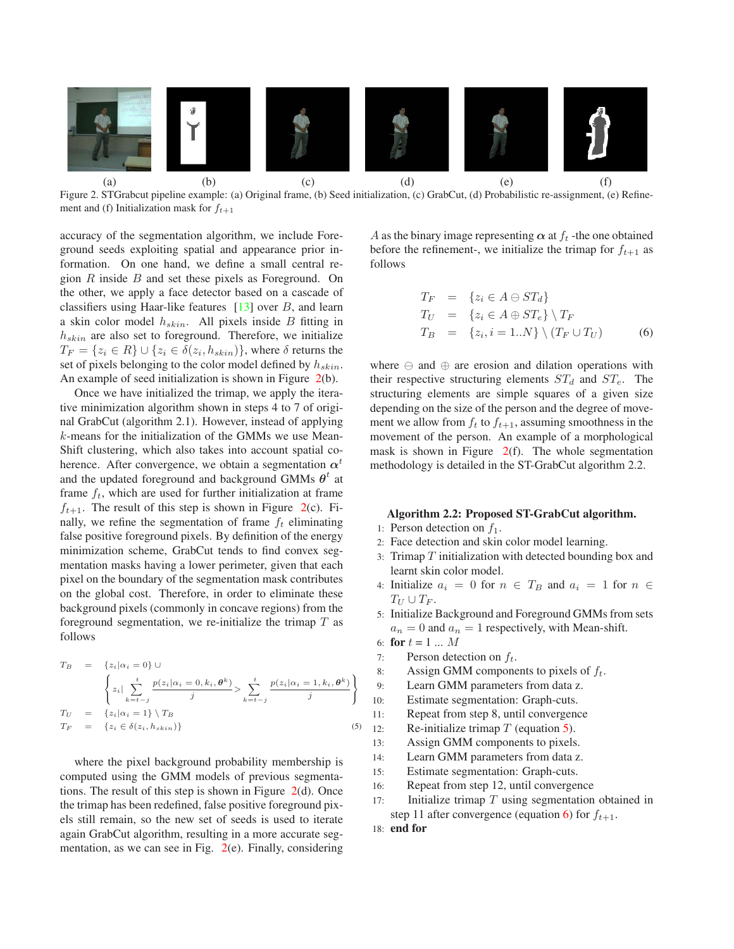<span id="page-2-3"></span>

<span id="page-2-0"></span>Figure 2. STGrabcut pipeline example: (a) Original frame, (b) Seed initialization, (c) GrabCut, (d) Probabilistic re-assignment, (e) Refinement and (f) Initialization mask for  $f_{t+1}$ 

accuracy of the segmentation algorithm, we include Foreground seeds exploiting spatial and appearance prior information. On one hand, we define a small central region  $R$  inside  $B$  and set these pixels as Foreground. On the other, we apply a face detector based on a cascade of classifiers using Haar-like features  $[13]$  over B, and learn a skin color model  $h_{skin}$ . All pixels inside  $B$  fitting in  $h_{skin}$  are also set to foreground. Therefore, we initialize  $T_F = \{z_i \in R\} \cup \{z_i \in \delta(z_i, h_{skin})\}$ , where  $\delta$  returns the set of pixels belonging to the color model defined by  $h_{skin}$ . An example of seed initialization is shown in Figure [2\(](#page-2-0)b).

Once we have initialized the trimap, we apply the iterative minimization algorithm shown in steps 4 to 7 of original GrabCut (algorithm 2.1). However, instead of applying k-means for the initialization of the GMMs we use Mean-Shift clustering, which also takes into account spatial coherence. After convergence, we obtain a segmentation  $\alpha^t$ and the updated foreground and background GMMs  $\theta^t$  at frame  $f_t$ , which are used for further initialization at frame  $f_{t+1}$ . The result of this step is shown in Figure [2\(](#page-2-0)c). Finally, we refine the segmentation of frame  $f_t$  eliminating false positive foreground pixels. By definition of the energy minimization scheme, GrabCut tends to find convex segmentation masks having a lower perimeter, given that each pixel on the boundary of the segmentation mask contributes on the global cost. Therefore, in order to eliminate these background pixels (commonly in concave regions) from the foreground segmentation, we re-initialize the trimap  $T$  as follows

<span id="page-2-1"></span>
$$
T_B = \{z_i | \alpha_i = 0\} \cup
$$
  
\n
$$
\left\{ z_i | \sum_{k=t-j}^t \frac{p(z_i | \alpha_i = 0, k_i, \theta^k)}{j} > \sum_{k=t-j}^t \frac{p(z_i | \alpha_i = 1, k_i, \theta^k)}{j} \right\}
$$
  
\n
$$
T_U = \{z_i | \alpha_i = 1\} \setminus T_B
$$
  
\n
$$
T_F = \{z_i \in \delta(z_i, h_{skin})\}
$$
\n(5)

where the pixel background probability membership is computed using the GMM models of previous segmentations. The result of this step is shown in Figure [2\(](#page-2-0)d). Once the trimap has been redefined, false positive foreground pixels still remain, so the new set of seeds is used to iterate again GrabCut algorithm, resulting in a more accurate segmentation, as we can see in Fig.  $2(e)$  $2(e)$ . Finally, considering A as the binary image representing  $\alpha$  at  $f_t$  -the one obtained before the refinement-, we initialize the trimap for  $f_{t+1}$  as follows

<span id="page-2-2"></span>
$$
T_F = \{z_i \in A \oplus ST_d\}
$$
  
\n
$$
T_U = \{z_i \in A \oplus ST_e\} \setminus T_F
$$
  
\n
$$
T_B = \{z_i, i = 1..N\} \setminus (T_F \cup T_U)
$$
\n(6)

where  $\ominus$  and  $\oplus$  are erosion and dilation operations with their respective structuring elements  $ST_d$  and  $ST_e$ . The structuring elements are simple squares of a given size depending on the size of the person and the degree of movement we allow from  $f_t$  to  $f_{t+1}$ , assuming smoothness in the movement of the person. An example of a morphological mask is shown in Figure  $2(f)$  $2(f)$ . The whole segmentation methodology is detailed in the ST-GrabCut algorithm 2.2.

#### **Algorithm 2.2: Proposed ST-GrabCut algorithm.**

- 1: Person detection on  $f_1$ .
- 2: Face detection and skin color model learning.
- 3: Trimap  $T$  initialization with detected bounding box and learnt skin color model.
- 4: Initialize  $a_i = 0$  for  $n \in T_B$  and  $a_i = 1$  for  $n \in$  $T_U \cup T_F$ .
- 5: Initialize Background and Foreground GMMs from sets  $a_n = 0$  and  $a_n = 1$  respectively, with Mean-shift.
- 6: **for**  $t = 1 ... M$ <br>7: **Person determinately**
- 7: Person detection on  $f_t$ .<br>8: Assign GMM compone
- 8: Assign GMM components to pixels of  $f_t$ .<br>9: Learn GMM parameters from data z.
- Learn GMM parameters from data z.
- 10: Estimate segmentation: Graph-cuts.
- 11: Repeat from step 8, until convergence
- 
- 12: Re-initialize trimap  $T$  (equation [5\)](#page-2-1).<br>13: Assign GMM components to pixels Assign GMM components to pixels.
- 14: Learn GMM parameters from data z.
- 15: Estimate segmentation: Graph-cuts.
- 16: Repeat from step 12, until convergence
- 17: Initialize trimap  $T$  using segmentation obtained in step 11 after convergence (equation [6\)](#page-2-2) for  $f_{t+1}$ .
- 18: **end for**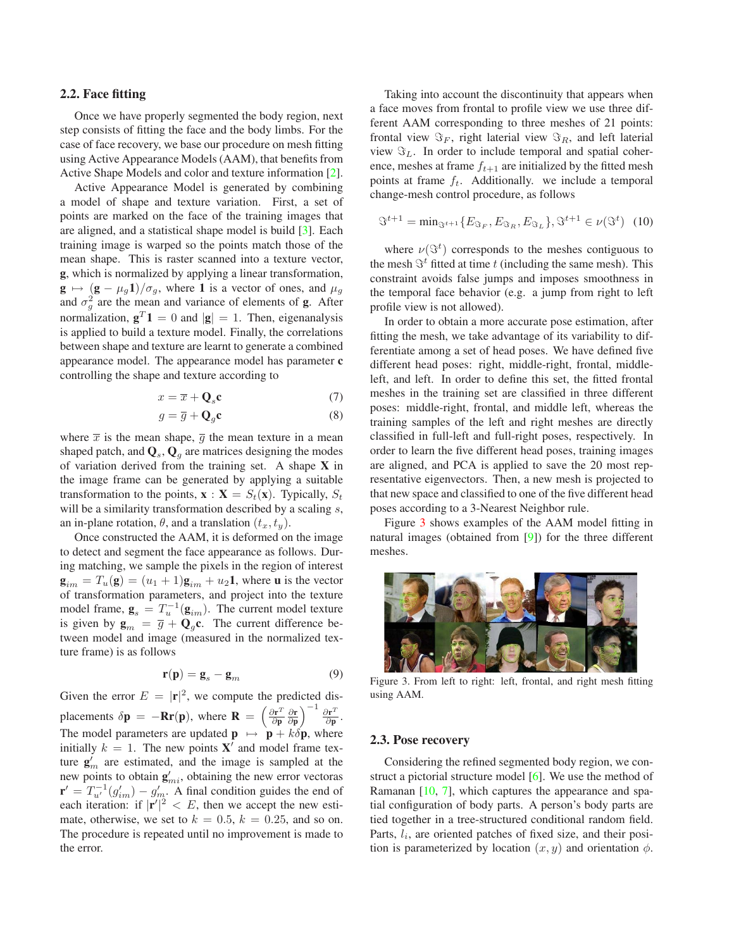#### <span id="page-3-1"></span>**2.2. Face fitting**

Once we have properly segmented the body region, next step consists of fitting the face and the body limbs. For the case of face recovery, we base our procedure on mesh fitting using Active Appearance Models (AAM), that benefits from Active Shape Models and color and texture information [\[2\]](#page-7-8).

Active Appearance Model is generated by combining a model of shape and texture variation. First, a set of points are marked on the face of the training images that are aligned, and a statistical shape model is build [\[3\]](#page-7-9). Each training image is warped so the points match those of the mean shape. This is raster scanned into a texture vector, **g**, which is normalized by applying a linear transformation,  $\mathbf{g} \mapsto (\mathbf{g} - \mu_g \mathbf{1})/\sigma_g$ , where **1** is a vector of ones, and  $\mu_g$ and  $\sigma_g^2$  are the mean and variance of elements of **g**. After<br>normalization  $\sigma_i^T \mathbf{1} = 0$  and  $|\sigma| = 1$ . Then eigenenalysis normalization,  $\mathbf{g}^T \mathbf{1} = 0$  and  $|\mathbf{g}| = 1$ . Then, eigenanalysis is applied to build a texture model. Finally, the correlations between shape and texture are learnt to generate a combined appearance model. The appearance model has parameter **c** controlling the shape and texture according to

$$
x = \overline{x} + \mathbf{Q}_s \mathbf{c} \tag{7}
$$

$$
g = \overline{g} + \mathbf{Q}_g \mathbf{c} \tag{8}
$$

where  $\bar{x}$  is the mean shape,  $\bar{g}$  the mean texture in a mean shaped patch, and  $\mathbf{Q}_s$ ,  $\mathbf{Q}_q$  are matrices designing the modes of variation derived from the training set. A shape **X** in the image frame can be generated by applying a suitable transformation to the points,  $\mathbf{x} : \mathbf{X} = S_t(\mathbf{x})$ . Typically,  $S_t$ will be a similarity transformation described by a scaling s, an in-plane rotation,  $\theta$ , and a translation  $(t_x, t_y)$ .

Once constructed the AAM, it is deformed on the image to detect and segment the face appearance as follows. During matching, we sample the pixels in the region of interest  $\mathbf{g}_{im} = T_u(\mathbf{g}) = (u_1 + 1)\mathbf{g}_{im} + u_2\mathbf{1}$ , where **u** is the vector of transformation parameters, and project into the texture model frame,  $\mathbf{g}_s = T_u^{-1}(\mathbf{g}_{im})$ . The current model texture is given by  $\mathbf{g}_m = \overline{g} + \mathbf{Q}_q \mathbf{c}$ . The current difference between model and image (measured in the normalized texture frame) is as follows

$$
\mathbf{r}(\mathbf{p}) = \mathbf{g}_s - \mathbf{g}_m \tag{9}
$$

Given the error  $E = |\mathbf{r}|^2$ , we compute the predicted displacements  $\delta \mathbf{p} = -\mathbf{R} \mathbf{r}(\mathbf{p})$ , where  $\mathbf{R} = \left(\frac{\partial \mathbf{r}^T}{\partial \mathbf{p}} \frac{\partial \mathbf{r}}{\partial \mathbf{p}}\right)^{-1} \frac{\partial \mathbf{r}^T}{\partial \mathbf{p}}$ . The model parameters are updated  $\mathbf{p} \mapsto \mathbf{p} + k\delta \mathbf{p}$ , where initially  $k = 1$ . The new points **X'** and model frame texture  $\mathbf{g}'_m$  are estimated, and the image is sampled at the new points to obtain  $\mathbf{g}'_{mi}$ , obtaining the new error vectoras  $\mathbf{r}' = T_{u'}^{-1}(g'_{im}) - g'_{m}$ . A final condition guides the end of each iteration: if  $|\mathbf{r}'|^{2} \leq F$  then we accent the new estieach iteration: if  $|\mathbf{r}'|^2 < E$ , then we accept the new esti-<br>mate otherwise we set to  $k = 0.5$ ,  $k = 0.25$ , and so on mate, otherwise, we set to  $k = 0.5$ ,  $k = 0.25$ , and so on. The procedure is repeated until no improvement is made to the error.

Taking into account the discontinuity that appears when a face moves from frontal to profile view we use three different AAM corresponding to three meshes of 21 points: frontal view  $\Im_F$ , right laterial view  $\Im_R$ , and left laterial view  $\Im_L$ . In order to include temporal and spatial coherence, meshes at frame  $f_{t+1}$  are initialized by the fitted mesh points at frame  $f_t$ . Additionally. we include a temporal change-mesh control procedure, as follows

$$
\mathfrak{S}^{t+1} = \min_{\mathfrak{S}^{t+1}} \{ E_{\mathfrak{S}_F}, E_{\mathfrak{S}_R}, E_{\mathfrak{S}_L} \}, \mathfrak{S}^{t+1} \in \nu(\mathfrak{S}^t) \tag{10}
$$

where  $\nu(\Im^t)$  corresponds to the meshes contiguous to mesh  $\Im^t$  fitted at time t (including the same mesh). This the mesh  $\Im^t$  fitted at time t (including the same mesh). This constraint avoids false jumps and imposes smoothness in constraint avoids false jumps and imposes smoothness in the temporal face behavior (e.g. a jump from right to left profile view is not allowed).

In order to obtain a more accurate pose estimation, after fitting the mesh, we take advantage of its variability to differentiate among a set of head poses. We have defined five different head poses: right, middle-right, frontal, middleleft, and left. In order to define this set, the fitted frontal meshes in the training set are classified in three different poses: middle-right, frontal, and middle left, whereas the training samples of the left and right meshes are directly classified in full-left and full-right poses, respectively. In order to learn the five different head poses, training images are aligned, and PCA is applied to save the 20 most representative eigenvectors. Then, a new mesh is projected to that new space and classified to one of the five different head poses according to a 3-Nearest Neighbor rule.

Figure [3](#page-3-0) shows examples of the AAM model fitting in natural images (obtained from [\[9\]](#page-7-10)) for the three different meshes.



Figure 3. From left to right: left, frontal, and right mesh fitting using AAM.

#### <span id="page-3-0"></span>**2.3. Pose recovery**

Considering the refined segmented body region, we construct a pictorial structure model [\[6\]](#page-7-11). We use the method of Ramanan  $[10, 7]$  $[10, 7]$  $[10, 7]$ , which captures the appearance and spatial configuration of body parts. A person's body parts are tied together in a tree-structured conditional random field. Parts,  $l_i$ , are oriented patches of fixed size, and their position is parameterized by location  $(x, y)$  and orientation  $\phi$ .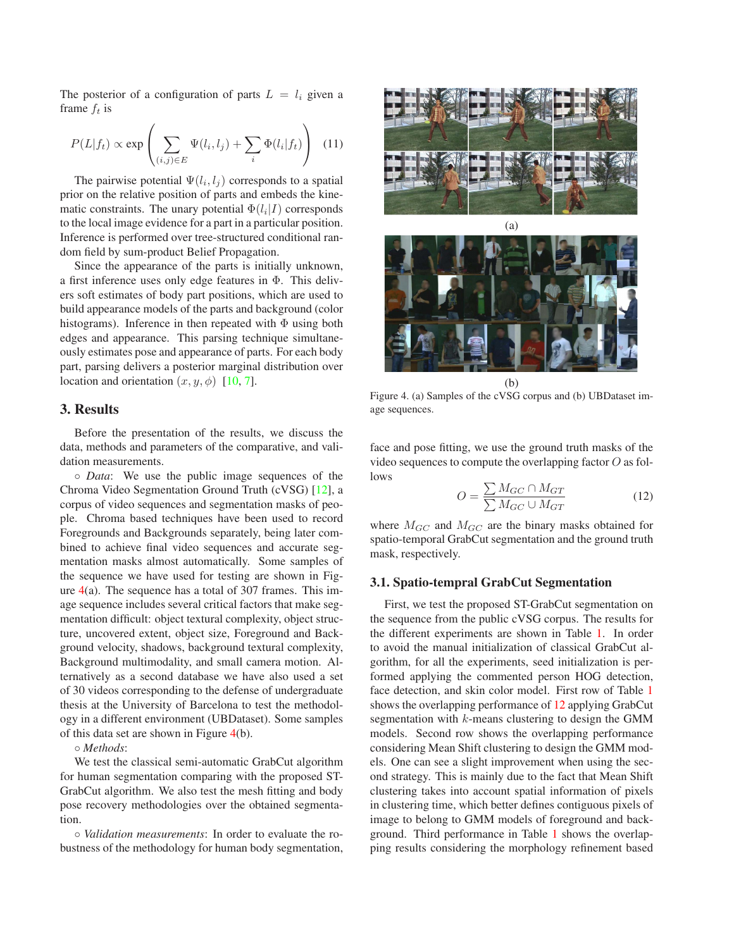<span id="page-4-2"></span>The posterior of a configuration of parts  $L = l_i$  given a frame  $f_t$  is

$$
P(L|f_t) \propto \exp\left(\sum_{(i,j)\in E} \Psi(l_i, l_j) + \sum_i \Phi(l_i|f_t)\right) \tag{11}
$$

The pairwise potential  $\Psi(l_i, l_j)$  corresponds to a spatial prior on the relative position of parts and embeds the kinematic constraints. The unary potential  $\Phi(l_i|I)$  corresponds to the local image evidence for a part in a particular position. Inference is performed over tree-structured conditional random field by sum-product Belief Propagation.

Since the appearance of the parts is initially unknown, a first inference uses only edge features in Φ. This delivers soft estimates of body part positions, which are used to build appearance models of the parts and background (color histograms). Inference in then repeated with  $\Phi$  using both edges and appearance. This parsing technique simultaneously estimates pose and appearance of parts. For each body part, parsing delivers a posterior marginal distribution over location and orientation  $(x, y, \phi)$  [\[10,](#page-7-6) [7\]](#page-7-4).

#### **3. Results**

Before the presentation of the results, we discuss the data, methods and parameters of the comparative, and validation measurements.

◦ *Data*: We use the public image sequences of the Chroma Video Segmentation Ground Truth (cVSG) [\[12\]](#page-7-12), a corpus of video sequences and segmentation masks of people. Chroma based techniques have been used to record Foregrounds and Backgrounds separately, being later combined to achieve final video sequences and accurate segmentation masks almost automatically. Some samples of the sequence we have used for testing are shown in Figure  $4(a)$  $4(a)$ . The sequence has a total of 307 frames. This image sequence includes several critical factors that make segmentation difficult: object textural complexity, object structure, uncovered extent, object size, Foreground and Background velocity, shadows, background textural complexity, Background multimodality, and small camera motion. Alternatively as a second database we have also used a set of 30 videos corresponding to the defense of undergraduate thesis at the University of Barcelona to test the methodology in a different environment (UBDataset). Some samples of this data set are shown in Figure [4\(](#page-4-0)b).

◦ *Methods*:

We test the classical semi-automatic GrabCut algorithm for human segmentation comparing with the proposed ST-GrabCut algorithm. We also test the mesh fitting and body pose recovery methodologies over the obtained segmentation.

◦ *Validation measurements*: In order to evaluate the robustness of the methodology for human body segmentation,





(b)

<span id="page-4-0"></span>Figure 4. (a) Samples of the cVSG corpus and (b) UBDataset image sequences.

face and pose fitting, we use the ground truth masks of the video sequences to compute the overlapping factor  $O$  as follows

<span id="page-4-1"></span>
$$
O = \frac{\sum M_{GC} \cap M_{GT}}{\sum M_{GC} \cup M_{GT}}
$$
(12)

where  $M_{GC}$  and  $M_{GC}$  are the binary masks obtained for spatio-temporal GrabCut segmentation and the ground truth mask, respectively.

#### **3.1. Spatio-tempral GrabCut Segmentation**

First, we test the proposed ST-GrabCut segmentation on the sequence from the public cVSG corpus. The results for the different experiments are shown in Table [1.](#page-6-0) In order to avoid the manual initialization of classical GrabCut algorithm, for all the experiments, seed initialization is performed applying the commented person HOG detection, face detection, and skin color model. First row of Table [1](#page-6-0) shows the overlapping performance of [12](#page-4-1) applying GrabCut segmentation with  $k$ -means clustering to design the GMM models. Second row shows the overlapping performance considering Mean Shift clustering to design the GMM models. One can see a slight improvement when using the second strategy. This is mainly due to the fact that Mean Shift clustering takes into account spatial information of pixels in clustering time, which better defines contiguous pixels of image to belong to GMM models of foreground and background. Third performance in Table [1](#page-6-0) shows the overlapping results considering the morphology refinement based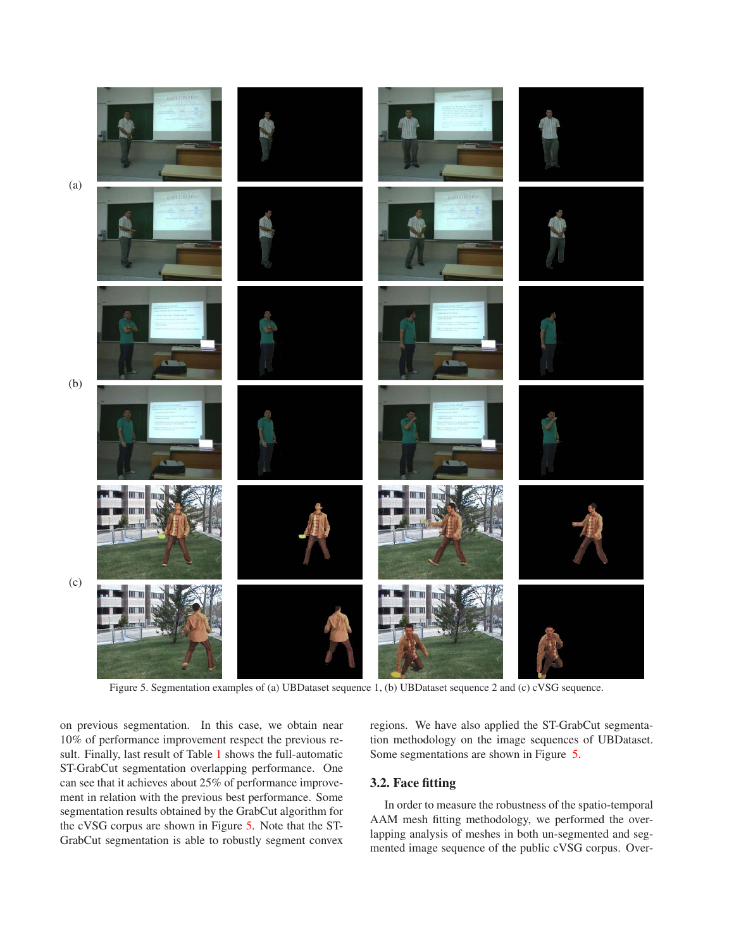

Figure 5. Segmentation examples of (a) UBDataset sequence 1, (b) UBDataset sequence 2 and (c) cVSG sequence.

<span id="page-5-0"></span>on previous segmentation. In this case, we obtain near 10% of performance improvement respect the previous result. Finally, last result of Table [1](#page-6-0) shows the full-automatic ST-GrabCut segmentation overlapping performance. One can see that it achieves about 25% of performance improvement in relation with the previous best performance. Some segmentation results obtained by the GrabCut algorithm for the cVSG corpus are shown in Figure [5.](#page-5-0) Note that the ST-GrabCut segmentation is able to robustly segment convex regions. We have also applied the ST-GrabCut segmentation methodology on the image sequences of UBDataset. Some segmentations are shown in Figure [5.](#page-5-0)

# **3.2. Face fitting**

In order to measure the robustness of the spatio-temporal AAM mesh fitting methodology, we performed the overlapping analysis of meshes in both un-segmented and segmented image sequence of the public cVSG corpus. Over-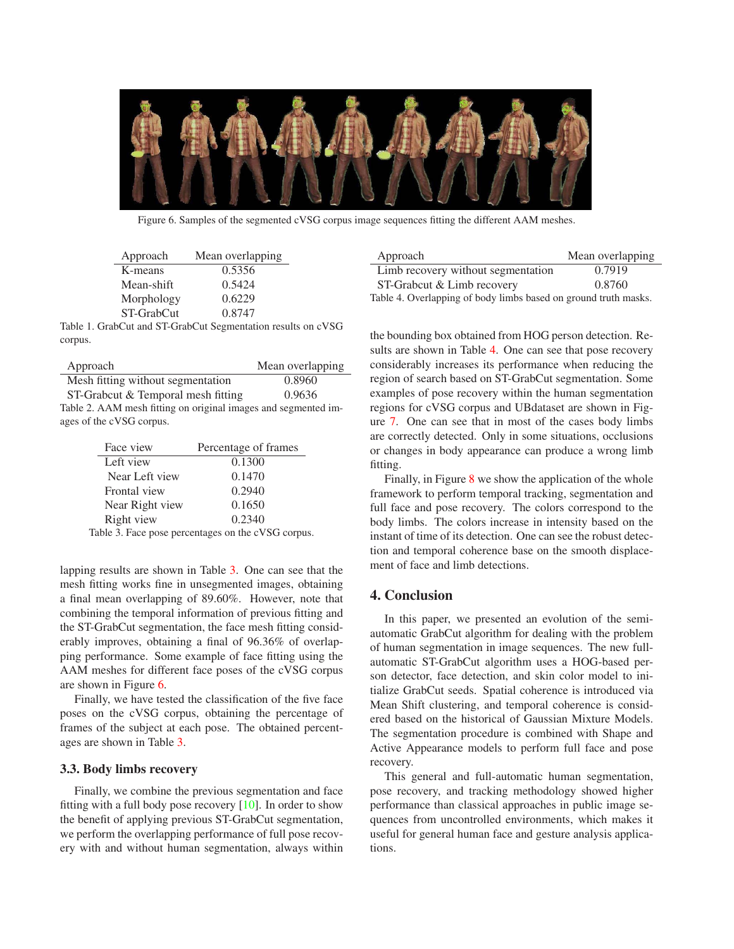<span id="page-6-4"></span>

Figure 6. Samples of the segmented cVSG corpus image sequences fitting the different AAM meshes.

<span id="page-6-2"></span>

| Approach   | Mean overlapping |
|------------|------------------|
| K-means    | 0.5356           |
| Mean-shift | 0.5424           |
| Morphology | 0.6229           |
| ST-GrabCut | 0.8747           |
|            |                  |

<span id="page-6-0"></span>Table 1. GrabCut and ST-GrabCut Segmentation results on cVSG corpus.

| Approach                                                       | Mean overlapping |  |  |
|----------------------------------------------------------------|------------------|--|--|
| Mesh fitting without segmentation                              | 0.8960           |  |  |
| ST-Grabcut & Temporal mesh fitting                             | 0.9636           |  |  |
| Table 2. AAM mesh fitting on original images and segmented im- |                  |  |  |
| ages of the cVSG corpus.                                       |                  |  |  |

| Face view       | Percentage of frames             |
|-----------------|----------------------------------|
| Left view       | 0.1300                           |
| Near Left view  | 0.1470                           |
| Frontal view    | 0.2940                           |
| Near Right view | 0.1650                           |
| Right view      | 0.2340                           |
|                 | $11.2 \text{ F}$ $1.3 \text{ F}$ |

<span id="page-6-1"></span>Table 3. Face pose percentages on the cVSG corpus.

lapping results are shown in Table [3.](#page-6-1) One can see that the mesh fitting works fine in unsegmented images, obtaining a final mean overlapping of 89.60%. However, note that combining the temporal information of previous fitting and the ST-GrabCut segmentation, the face mesh fitting considerably improves, obtaining a final of 96.36% of overlapping performance. Some example of face fitting using the AAM meshes for different face poses of the cVSG corpus are shown in Figure [6.](#page-6-2)

Finally, we have tested the classification of the five face poses on the cVSG corpus, obtaining the percentage of frames of the subject at each pose. The obtained percentages are shown in Table [3.](#page-6-1)

## **3.3. Body limbs recovery**

Finally, we combine the previous segmentation and face fitting with a full body pose recovery  $[10]$ . In order to show the benefit of applying previous ST-GrabCut segmentation, we perform the overlapping performance of full pose recovery with and without human segmentation, always within

| Approach                                                        | Mean overlapping |  |  |
|-----------------------------------------------------------------|------------------|--|--|
| Limb recovery without segmentation                              | 0.7919           |  |  |
| ST-Grabcut & Limb recovery                                      | 0.8760           |  |  |
| Table 4. Overlapping of body limbs based on ground truth masks. |                  |  |  |

<span id="page-6-3"></span>the bounding box obtained from HOG person detection. Re-sults are shown in Table [4.](#page-6-3) One can see that pose recovery considerably increases its performance when reducing the region of search based on ST-GrabCut segmentation. Some examples of pose recovery within the human segmentation regions for cVSG corpus and UBdataset are shown in Figure [7.](#page-7-13) One can see that in most of the cases body limbs are correctly detected. Only in some situations, occlusions or changes in body appearance can produce a wrong limb fitting.

Finally, in Figure [8](#page-7-14) we show the application of the whole framework to perform temporal tracking, segmentation and full face and pose recovery. The colors correspond to the body limbs. The colors increase in intensity based on the instant of time of its detection. One can see the robust detection and temporal coherence base on the smooth displacement of face and limb detections.

# **4. Conclusion**

In this paper, we presented an evolution of the semiautomatic GrabCut algorithm for dealing with the problem of human segmentation in image sequences. The new fullautomatic ST-GrabCut algorithm uses a HOG-based person detector, face detection, and skin color model to initialize GrabCut seeds. Spatial coherence is introduced via Mean Shift clustering, and temporal coherence is considered based on the historical of Gaussian Mixture Models. The segmentation procedure is combined with Shape and Active Appearance models to perform full face and pose recovery.

This general and full-automatic human segmentation, pose recovery, and tracking methodology showed higher performance than classical approaches in public image sequences from uncontrolled environments, which makes it useful for general human face and gesture analysis applications.